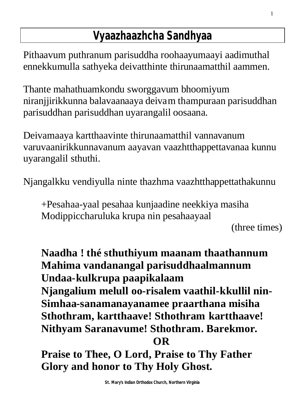## **Vyaazhaazhcha Sandhyaa**

Pithaavum puthranum parisuddha roohaayumaayi aadimuthal ennekkumulla sathyeka deivatthinte thirunaamatthil aammen.

Thante mahathuamkondu sworggavum bhoomiyum niranjjirikkunna balavaanaaya deivam thampuraan parisuddhan parisuddhan parisuddhan uyarangalil oosaana.

Deivamaaya kartthaavinte thirunaamatthil vannavanum varuvaanirikkunnavanum aayavan vaazhtthappettavanaa kunnu uyarangalil sthuthi.

Njangalkku vendiyulla ninte thazhma vaazhtthappettathakunnu

+Pesahaa-yaal pesahaa kunjaadine neekkiya masiha Modippiccharuluka krupa nin pesahaayaal

(three times)

**Naadha ! thé sthuthiyum maanam thaathannum Mahima vandanangal parisuddhaalmannum Undaa-kulkrupa paapikalaam Njangalium melull oo-risalem vaathil-kkullil nin-Simhaa-sanamanayanamee praarthana misiha Sthothram, kartthaave! Sthothram kartthaave! Nithyam Saranavume! Sthothram. Barekmor. OR**

**Praise to Thee, O Lord, Praise to Thy Father Glory and honor to Thy Holy Ghost.**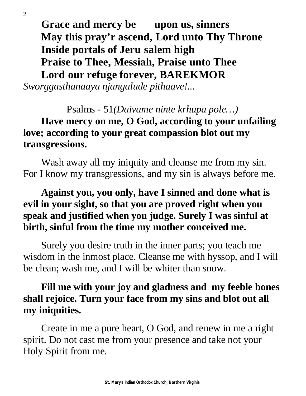**Grace and mercy be upon us, sinners May this pray'r ascend, Lord unto Thy Throne Inside portals of Jeru salem high Praise to Thee, Messiah, Praise unto Thee Lord our refuge forever, BAREKMOR**

*Sworggasthanaaya njangalude pithaave!...* 

Psalms - 51*(Daivame ninte krhupa pole…)* **Have mercy on me, O God, according to your unfailing love; according to your great compassion blot out my transgressions.** 

Wash away all my iniquity and cleanse me from my sin. For I know my transgressions, and my sin is always before me.

#### **Against you, you only, have I sinned and done what is evil in your sight, so that you are proved right when you speak and justified when you judge. Surely I was sinful at birth, sinful from the time my mother conceived me.**

Surely you desire truth in the inner parts; you teach me wisdom in the inmost place. Cleanse me with hyssop, and I will be clean; wash me, and I will be whiter than snow.

#### **Fill me with your joy and gladness and my feeble bones shall rejoice. Turn your face from my sins and blot out all my iniquities.**

Create in me a pure heart, O God, and renew in me a right spirit. Do not cast me from your presence and take not your Holy Spirit from me.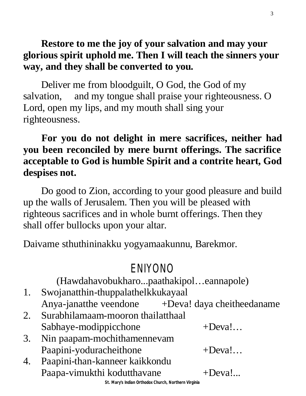#### **Restore to me the joy of your salvation and may your glorious spirit uphold me. Then I will teach the sinners your way, and they shall be converted to you.**

Deliver me from bloodguilt, O God, the God of my salvation, and my tongue shall praise your righteousness. O Lord, open my lips, and my mouth shall sing your righteousness.

#### **For you do not delight in mere sacrifices, neither had you been reconciled by mere burnt offerings. The sacrifice acceptable to God is humble Spirit and a contrite heart, God despises not.**

Do good to Zion, according to your good pleasure and build up the walls of Jerusalem. Then you will be pleased with righteous sacrifices and in whole burnt offerings. Then they shall offer bullocks upon your altar.

Daivame sthuthininakku yogyamaakunnu, Barekmor.

### ENIYONO

(Hawdahavobukharo...paathakipol…eannapole)

- 1. Swojanatthin-thuppalathelkkukayaal Anya-janatthe veendone +Deva! daya cheitheedaname
- 2. Surabhilamaam-mooron thailatthaal Sabhaye-modippicchone +Deva!...
- 3. Nin paapam-mochithamennevam Paapini-yoduracheithone +Deva!...
- 4. Paapini-than-kanneer kaikkondu Paapa-vimukthi kodutthavane +Deva!...

**St. Mary's Indian Orthodox Church, Northern Virginia**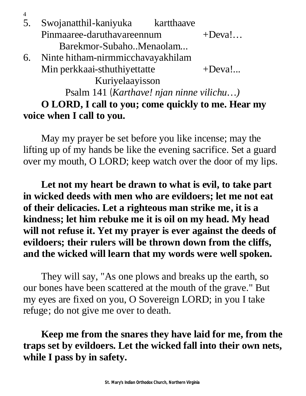| 5. | Swojanatthil-kaniyuka                    | kartthaave |           |
|----|------------------------------------------|------------|-----------|
|    | Pinmaaree-daruthavareennum               |            | $+$ Deva! |
|    | Barekmor-SubahoMenaolam                  |            |           |
| 6. | Ninte hitham-nirmmicchavayakhilam        |            |           |
|    | Min perkkaai-sthuthiyettatte             |            | $+Deva!$  |
|    | Kuriyelaayisson                          |            |           |
|    | Psalm 141 (Karthave! njan ninne vilichu) |            |           |

4

### **O LORD, I call to you; come quickly to me. Hear my voice when I call to you.**

May my prayer be set before you like incense; may the lifting up of my hands be like the evening sacrifice. Set a guard over my mouth, O LORD; keep watch over the door of my lips.

**Let not my heart be drawn to what is evil, to take part in wicked deeds with men who are evildoers; let me not eat of their delicacies. Let a righteous man strike me, it is a kindness; let him rebuke me it is oil on my head. My head will not refuse it. Yet my prayer is ever against the deeds of evildoers; their rulers will be thrown down from the cliffs, and the wicked will learn that my words were well spoken.** 

They will say, "As one plows and breaks up the earth, so our bones have been scattered at the mouth of the grave." But my eyes are fixed on you, O Sovereign LORD; in you I take refuge; do not give me over to death.

**Keep me from the snares they have laid for me, from the traps set by evildoers. Let the wicked fall into their own nets, while I pass by in safety.**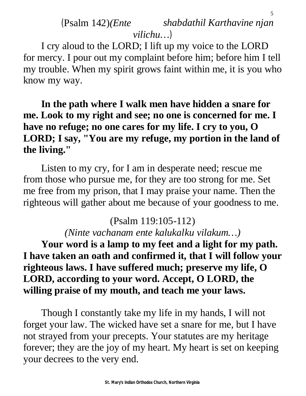#### (Psalm 142)*(Ente shabdathil Karthavine njan vilichu…)*

5

I cry aloud to the LORD; I lift up my voice to the LORD for mercy. I pour out my complaint before him; before him I tell my trouble. When my spirit grows faint within me, it is you who know my way.

**In the path where I walk men have hidden a snare for me. Look to my right and see; no one is concerned for me. I have no refuge; no one cares for my life. I cry to you, O LORD; I say, "You are my refuge, my portion in the land of the living."** 

Listen to my cry, for I am in desperate need; rescue me from those who pursue me, for they are too strong for me. Set me free from my prison, that I may praise your name. Then the righteous will gather about me because of your goodness to me.

#### (Psalm 119:105-112)

*(Ninte vachanam ente kalukalku vilakum…)*

**Your word is a lamp to my feet and a light for my path. I have taken an oath and confirmed it, that I will follow your righteous laws. I have suffered much; preserve my life, O LORD, according to your word. Accept, O LORD, the willing praise of my mouth, and teach me your laws.** 

Though I constantly take my life in my hands, I will not forget your law. The wicked have set a snare for me, but I have not strayed from your precepts. Your statutes are my heritage forever; they are the joy of my heart. My heart is set on keeping your decrees to the very end.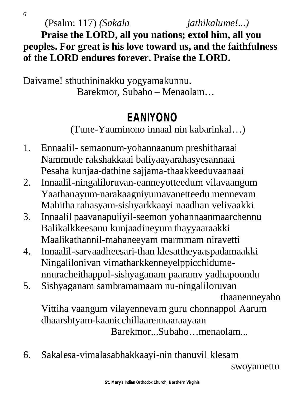(Psalm: 117) *(Sakala jathikalume!...)*

**Praise the LORD, all you nations; extol him, all you peoples. For great is his love toward us, and the faithfulness of the LORD endures forever. Praise the LORD.**

Daivame! sthuthininakku yogyamakunnu. Barekmor, Subaho – Menaolam…

## **EANIYONO**

(Tune-Yauminono innaal nin kabarinkal…)

- 1. Ennaalil- semaonum-yohannaanum preshitharaai Nammude rakshakkaai baliyaayarahasyesannaai Pesaha kunjaa-dathine sajjama-thaakkeeduvaanaai
- 2. Innaalil-ningaliloruvan-eanneyotteedum vilavaangum Yaathanayum-narakaagniyumavanetteedu mennevam Mahitha rahasyam-sishyarkkaayi naadhan velivaakki
- 3. Innaalil paavanapuiiyil-seemon yohannaanmaarchennu Balikalkkeesanu kunjaadineyum thayyaaraakki Maalikathannil-mahaneeyam marmmam niravetti
- 4. Innaalil-sarvaadheesari-than klesattheyaaspadamaakki Ningalilonivan vimatharkkenneyelppicchidumennuracheithappol-sishyaganam paaramv yadhapoondu
- 5. Sishyaganam sambramamaam nu-ningaliloruvan

```
 thaanenneyaho
```
Vittiha vaangum vilayennevam guru chonnappol Aarum dhaarshtyam-kaanicchillaarennaaraayaan Barekmor...Subaho…menaolam...

6. Sakalesa-vimalasabhakkaayi-nin thanuvil klesam

swoyamettu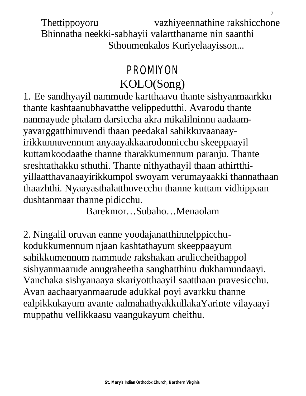Thettippoyoru vazhiyeennathine rakshicchone Bhinnatha neekki-sabhayii valartthaname nin saanthi Sthoumenkalos Kuriyelaayisson...

7

## PROMIYON KOLO(Song)

1. Ee sandhyayil nammude kartthaavu thante sishyanmaarkku thante kashtaanubhavatthe velippedutthi. Avarodu thante nanmayude phalam darsiccha akra mikalilninnu aadaamyavarggatthinuvendi thaan peedakal sahikkuvaanaayirikkunnuvennum anyaayakkaarodonnicchu skeeppaayil kuttamkoodaathe thanne tharakkumennum paranju. Thante sreshtathakku sthuthi. Thante nithyathayil thaan athirtthiyillaatthavanaayirikkumpol swoyam verumayaakki thannathaan thaazhthi. Nyaayasthalatthuvecchu thanne kuttam vidhippaan dushtanmaar thanne pidicchu.

Barekmor…Subaho…Menaolam

2. Ningalil oruvan eanne yoodajanatthinnelppicchukodukkumennum njaan kashtathayum skeeppaayum sahikkumennum nammude rakshakan aruliccheithappol sishyanmaarude anugraheetha sanghatthinu dukhamundaayi. Vanchaka sishyanaaya skariyotthaayil saatthaan pravesicchu. Avan aachaaryanmaarude adukkal poyi avarkku thanne ealpikkukayum avante aalmahathyakkullakaYarinte vilayaayi muppathu vellikkaasu vaangukayum cheithu.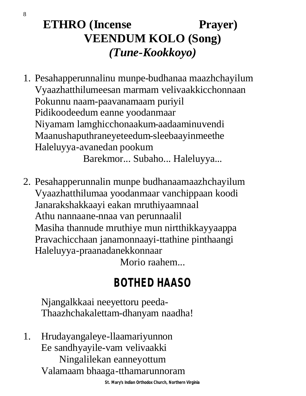## **ETHRO** (Incense Prayer) **VEENDUM KOLO (Song)** *(Tune-Kookkoyo)*

1. Pesahapperunnalinu munpe-budhanaa maazhchayilum Vyaazhatthilumeesan marmam velivaakkicchonnaan Pokunnu naam-paavanamaam puriyil Pidikoodeedum eanne yoodanmaar Niyamam lamghicchonaakum-aadaaminuvendi Maanushaputhraneyeteedum-sleebaayinmeethe Haleluyya-avanedan pookum

Barekmor... Subaho... Haleluyya...

2. Pesahapperunnalin munpe budhanaamaazhchayilum Vyaazhatthilumaa yoodanmaar vanchippaan koodi Janarakshakkaayi eakan mruthiyaamnaal Athu nannaane-nnaa van perunnaalil Masiha thannude mruthiye mun nirtthikkayyaappa Pravachicchaan janamonnaayi-ttathine pinthaangi Haleluyya-praanadanekkonnaar Morio raahem...

## **BOTHED HAASO**

Njangalkkaai neeyettoru peeda-Thaazhchakalettam-dhanyam naadha!

1. Hrudayangaleye-llaamariyunnon Ee sandhyayile-vam velivaakki Ningalilekan eanneyottum Valamaam bhaaga-tthamarunnoram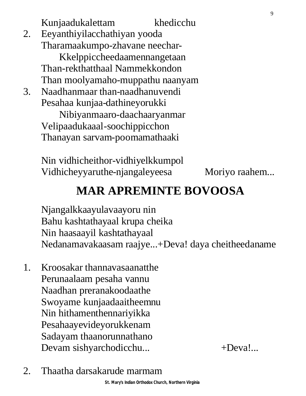Kunjaadukalettam khedicchu 2. Eeyanthiyilacchathiyan yooda Tharamaakumpo-zhavane neechar-Kkelppiccheedaamennangetaan Than-rekthatthaal Nammekkondon Than moolyamaho-muppathu naanyam 3. Naadhanmaar than-naadhanuvendi Pesahaa kunjaa-dathineyorukki Nibiyanmaaro-daachaaryanmar Velipaadukaaal-soochippicchon Thanayan sarvam-poomamathaaki

> Nin vidhicheithor-vidhiyelkkumpol Vidhicheyyaruthe-njangaleyeesa Moriyo raahem...

#### **MAR APREMINTE BOVOOSA**

Njangalkkaayulavaayoru nin Bahu kashtathayaal krupa cheika Nin haasaayil kashtathayaal Nedanamavakaasam raajye...+Deva! daya cheitheedaname

- 1. Kroosakar thannavasaanatthe Perunaalaam pesaha vannu Naadhan preranakoodaathe Swoyame kunjaadaaitheemnu Nin hithamenthennariyikka Pesahaayevideyorukkenam Sadayam thaanorunnathano Devam sishyarchodicchu... +Deva!...
- 2. Thaatha darsakarude marmam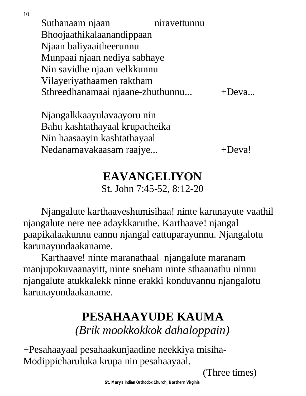10

Suthanaam njaan niravettunnu Bhoojaathikalaanandippaan Njaan baliyaaitheerunnu Munpaai njaan nediya sabhaye Nin savidhe njaan velkkunnu Vilayeriyathaamen raktham Sthreedhanamaai njaane-zhuthunnu... +Deva...

Njangalkkaayulavaayoru nin Bahu kashtathayaal krupacheika Nin haasaayin kashtathayaal Nedanamavakaasam raajye... +Deva!

## **EAVANGELIYON**

St. John 7:45-52, 8:12-20

Njangalute karthaaveshumisihaa! ninte karunayute vaathil njangalute nere nee adaykkaruthe. Karthaave! njangal paapikalaakunnu eannu njangal eattuparayunnu. Njangalotu karunayundaakaname.

Karthaave! ninte maranathaal njangalute maranam manjupokuvaanayitt, ninte sneham ninte sthaanathu ninnu njangalute atukkalekk ninne erakki konduvannu njangalotu karunayundaakaname.

### **PESAHAAYUDE KAUMA** *(Brik mookkokkok dahaloppain)*

+Pesahaayaal pesahaakunjaadine neekkiya misiha-Modippicharuluka krupa nin pesahaayaal.

(Three times)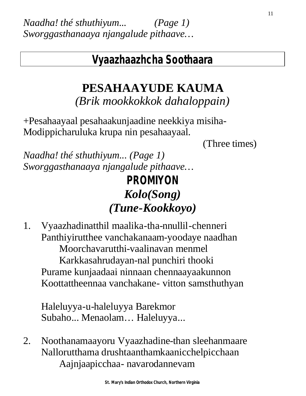#### **Vyaazhaazhcha Soothaara**

## **PESAHAAYUDE KAUMA**

*(Brik mookkokkok dahaloppain)*

+Pesahaayaal pesahaakunjaadine neekkiya misiha-Modippicharuluka krupa nin pesahaayaal.

(Three times)

*Naadha! thé sthuthiyum... (Page 1) Sworggasthanaaya njangalude pithaave…*

## **PROMIYON** *Kolo(Song) (Tune-Kookkoyo)*

1. Vyaazhadinatthil maalika-tha-nnullil-chenneri Panthiyirutthee vanchakanaam-yoodaye naadhan Moorchavarutthi-vaalinavan menmel Karkkasahrudayan-nal punchiri thooki Purame kunjaadaai ninnaan chennaayaakunnon Koottattheennaa vanchakane- vitton samsthuthyan

Haleluyya-u-haleluyya Barekmor Subaho... Menaolam… Haleluyya...

2. Noothanamaayoru Vyaazhadine-than sleehanmaare Nallorutthama drushtaanthamkaanicchelpicchaan Aajnjaapicchaa- navarodannevam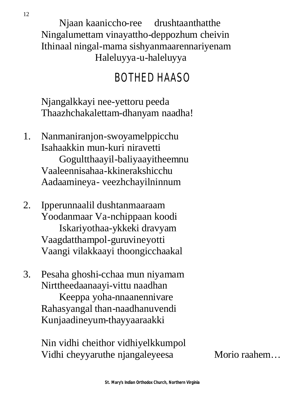Njaan kaaniccho-ree drushtaanthatthe Ningalumettam vinayattho-deppozhum cheivin Ithinaal ningal-mama sishyanmaarennariyenam Haleluyya-u-haleluyya

## BOTHED HAASO

Njangalkkayi nee-yettoru peeda Thaazhchakalettam-dhanyam naadha!

- 1. Nanmaniranjon-swoyamelppicchu Isahaakkin mun-kuri niravetti Gogultthaayil-baliyaayitheemnu Vaaleennisahaa-kkinerakshicchu Aadaamineya- veezhchayilninnum
- 2. Ipperunnaalil dushtanmaaraam Yoodanmaar Va-nchippaan koodi Iskariyothaa-ykkeki dravyam Vaagdatthampol-guruvineyotti Vaangi vilakkaayi thoongicchaakal
- 3. Pesaha ghoshi-cchaa mun niyamam Nirttheedaanaayi-vittu naadhan Keeppa yoha-nnaanennivare Rahasyangal than-naadhanuvendi Kunjaadineyum-thayyaaraakki

Nin vidhi cheithor vidhiyelkkumpol Vidhi cheyyaruthe njangaleyeesa Morio raahem...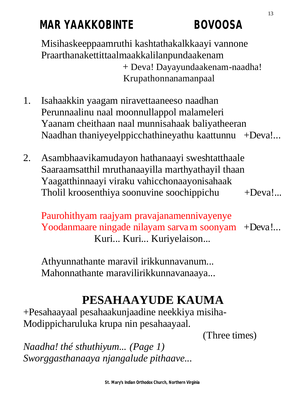## **MAR YAAKKOBINTE BOVOOSA**

Misihaskeeppaamruthi kashtathakalkkaayi vannone Praarthanakettittaalmaakkalilanpundaakenam + Deva! Dayayundaakenam-naadha! Krupathonnanamanpaal

- 1. Isahaakkin yaagam niravettaaneeso naadhan Perunnaalinu naal moonnullappol malameleri Yaanam cheithaan naal munnisahaak baliyatheeran Naadhan thaniyeyelppicchathineyathu kaattunnu +Deva!...
- 2. Asambhaavikamudayon hathanaayi sweshtatthaale Saaraamsatthil mruthanaayilla marthyathayil thaan Yaagatthinnaayi viraku vahicchonaayonisahaak Tholil kroosenthiya soonuvine soochippichu +Deva!...

Paurohithyam raajyam pravajanamennivayenye Yoodanmaare ningade nilayam sarvam soonyam +Deva!... Kuri... Kuri... Kuriyelaison...

Athyunnathante maravil irikkunnavanum... Mahonnathante maravilirikkunnavanaaya...

## **PESAHAAYUDE KAUMA**

+Pesahaayaal pesahaakunjaadine neekkiya misiha-Modippicharuluka krupa nin pesahaayaal.

(Three times)

*Naadha! thé sthuthiyum... (Page 1) Sworggasthanaaya njangalude pithaave...*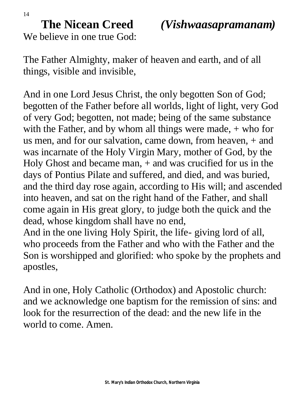14

**The Nicean Creed** *(Vishwaasapramanam)*

We believe in one true God:

The Father Almighty, maker of heaven and earth, and of all things, visible and invisible,

And in one Lord Jesus Christ, the only begotten Son of God; begotten of the Father before all worlds, light of light, very God of very God; begotten, not made; being of the same substance with the Father, and by whom all things were made,  $+$  who for us men, and for our salvation, came down, from heaven, + and was incarnate of the Holy Virgin Mary, mother of God, by the Holy Ghost and became man, + and was crucified for us in the days of Pontius Pilate and suffered, and died, and was buried, and the third day rose again, according to His will; and ascended into heaven, and sat on the right hand of the Father, and shall come again in His great glory, to judge both the quick and the dead, whose kingdom shall have no end,

And in the one living Holy Spirit, the life- giving lord of all, who proceeds from the Father and who with the Father and the Son is worshipped and glorified: who spoke by the prophets and apostles,

And in one, Holy Catholic (Orthodox) and Apostolic church: and we acknowledge one baptism for the remission of sins: and look for the resurrection of the dead: and the new life in the world to come. Amen.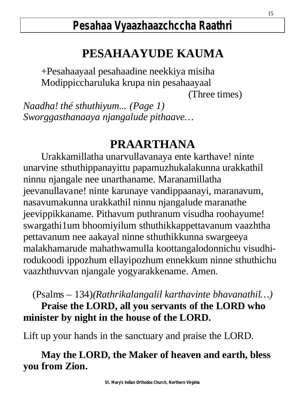## **PESAHAAYUDE KAUMA**

+Pesahaayaal pesahaadine neekkiya misiha Modippiccharuluka krupa nin pesahaayaal

(Three times)

*Naadha! thé sthuthiyum... (Page 1) Sworggasthanaaya njangalude pithaave…*

### **PRAARTHANA**

Urakkamillatha unarvullavanaya ente karthave! ninte unarvine sthuthippanayittu papamuzhukalakunna urakkathil ninnu njangale nee unarthaname. Maranamillatha jeevanullavane! ninte karunaye vandippaanayi, maranavum, nasavumakunna urakkathil ninnu njangalude maranathe jeevippikkaname. Pithavum puthranum visudha roohayume! swargathi1um bhoomiyilum sthuthikkappettavanum vaazhtha pettavanum nee aakayal ninne sthuthikkunna swargeeya malakhamarude mahathwamulla koottangalodonnichu visudhirodukoodi ippozhum ellayipozhum ennekkum ninne sthuthichu vaazhthuvvan njangale yogyarakkename. Amen.

(Psalms – 134)*(Rathrikalangalil karthavinte bhavanathil…)* **Praise the LORD, all you servants of the LORD who minister by night in the house of the LORD.** 

Lift up your hands in the sanctuary and praise the LORD.

#### **May the LORD, the Maker of heaven and earth, bless you from Zion.**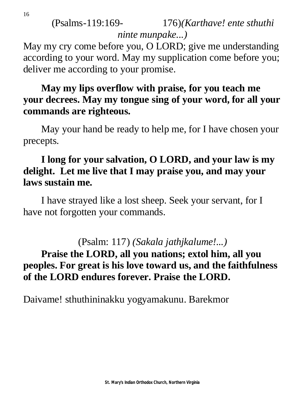(Psalms-119:169- 176)*(Karthave! ente sthuthi ninte munpake...)*

May my cry come before you, O LORD; give me understanding according to your word. May my supplication come before you; deliver me according to your promise.

#### **May my lips overflow with praise, for you teach me your decrees. May my tongue sing of your word, for all your commands are righteous.**

May your hand be ready to help me, for I have chosen your precepts.

#### **I long for your salvation, O LORD, and your law is my delight. Let me live that I may praise you, and may your laws sustain me.**

I have strayed like a lost sheep. Seek your servant, for I have not forgotten your commands.

(Psalm: 117) *(Sakala jathjkalume!...)*

#### **Praise the LORD, all you nations; extol him, all you peoples. For great is his love toward us, and the faithfulness of the LORD endures forever. Praise the LORD.**

Daivame! sthuthininakku yogyamakunu. Barekmor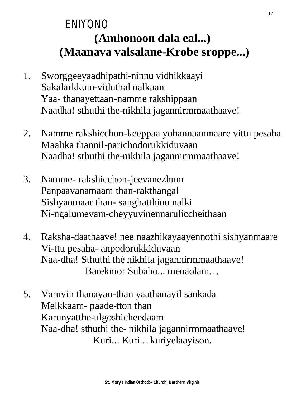## ENIYONO **(Amhonoon dala eal...) (Maanava valsalane-Krobe sroppe...)**

- 1. Sworggeeyaadhipathi-ninnu vidhikkaayi Sakalarkkum-viduthal nalkaan Yaa- thanayettaan-namme rakshippaan Naadha! sthuthi the-nikhila jagannirmmaathaave!
- 2. Namme rakshicchon-keeppaa yohannaanmaare vittu pesaha Maalika thannil-parichodorukkiduvaan Naadha! sthuthi the-nikhila jagannirmmaathaave!
- 3. Namme- rakshicchon-jeevanezhum Panpaavanamaam than-rakthangal Sishyanmaar than- sanghatthinu nalki Ni-ngalumevam-cheyyuvinennaruliccheithaan
- 4. Raksha-daathaave! nee naazhikayaayennothi sishyanmaare Vi-ttu pesaha- anpodorukkiduvaan Naa-dha! Sthuthi thé nikhila jagannirmmaathaave! Barekmor Subaho... menaolam…
- 5. Varuvin thanayan-than yaathanayil sankada Melkkaam- paade-tton than Karunyatthe-ulgoshicheedaam Naa-dha! sthuthi the- nikhila jagannirmmaathaave! Kuri... Kuri... kuriyelaayison.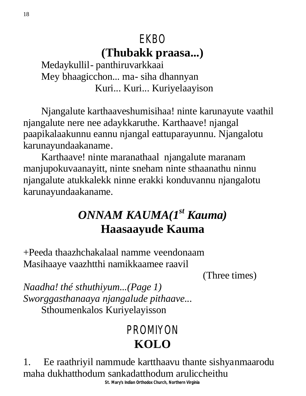## EKBO **(Thubakk praasa...)**

Medaykullil- panthiruvarkkaai Mey bhaagicchon... ma- siha dhannyan Kuri... Kuri... Kuriyelaayison

Njangalute karthaaveshumisihaa! ninte karunayute vaathil njangalute nere nee adaykkaruthe. Karthaave! njangal paapikalaakunnu eannu njangal eattuparayunnu. Njangalotu karunayundaakaname.

Karthaave! ninte maranathaal njangalute maranam manjupokuvaanayitt, ninte sneham ninte sthaanathu ninnu njangalute atukkalekk ninne erakki konduvannu njangalotu karunayundaakaname.

## *ONNAM KAUMA(1st Kauma)* **Haasaayude Kauma**

+Peeda thaazhchakalaal namme veendonaam Masihaaye vaazhtthi namikkaamee raavil

(Three times)

*Naadha! thé sthuthiyum...(Page 1) Sworggasthanaaya njangalude pithaave...* Sthoumenkalos Kuriyelayisson

## PROMIYON **KOLO**

1. Ee raathriyil nammude kartthaavu thante sishyanmaarodu maha dukhatthodum sankadatthodum aruliccheithu

**St. Mary's Indian Orthodox Church, Northern Virginia**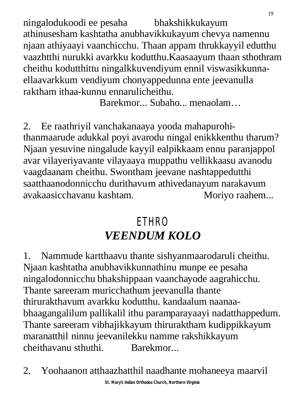ningalodukoodi ee pesaha bhakshikkukayum athinusesham kashtatha anubhavikkukayum chevya namennu njaan athiyaayi vaanchicchu. Thaan appam thrukkayyil edutthu vaazhtthi nurukki avarkku kodutthu.Kaasaayum thaan sthothram cheithu kodutthittu ningalkkuvendiyum ennil viswasikkunnaellaavarkkum vendiyum chonyappedunna ente jeevanulla raktham ithaa-kunnu ennarulicheithu.

Barekmor... Subaho... menaolam…

2. Ee raathriyil vanchakanaaya yooda mahapurohithanmaarude adukkal poyi avarodu ningal enikkkenthu tharum? Njaan yesuvine ningalude kayyil ealpikkaam ennu paranjappol avar vilayeriyavante vilayaaya muppathu vellikkaasu avanodu vaagdaanam cheithu. Swontham jeevane nashtappedutthi saatthaanodonnicchu durithavum athivedanayum narakavum avakaasicchavanu kashtam. Moriyo raahem...

## **ETHRO** *VEENDUM KOLO*

1. Nammude kartthaavu thante sishyanmaarodaruli cheithu. Njaan kashtatha anubhavikkunnathinu munpe ee pesaha ningalodonnicchu bhakshippaan vaanchayode aagrahicchu. Thante sareeram muricchathum jeevanulla thante thirurakthavum avarkku kodutthu. kandaalum naanaabhaagangalilum pallikalil ithu paramparayaayi nadatthappedum. Thante sareeram vibhajikkayum thiruraktham kudippikkayum maranatthil ninnu jeevanilekku namme rakshikkayum cheithavanu sthuthi. Barekmor...

2. Yoohaanon atthaazhatthil naadhante mohaneeya maarvil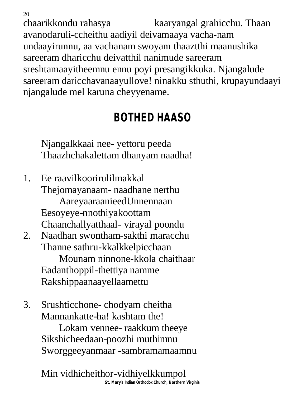chaarikkondu rahasya kaaryangal grahicchu. Thaan avanodaruli-ccheithu aadiyil deivamaaya vacha-nam undaayirunnu, aa vachanam swoyam thaaztthi maanushika sareeram dharicchu deivatthil nanimude sareeram sreshtamaayitheemnu ennu poyi presangikkuka. Njangalude sareeram daricchavanaayullove! ninakku sthuthi, krupayundaayi njangalude mel karuna cheyyename.

## **BOTHED HAASO**

Njangalkkaai nee- yettoru peeda Thaazhchakalettam dhanyam naadha!

20

1. Ee raavilkoorirulilmakkal Thejomayanaam- naadhane nerthu AareyaaraanieedUnnennaan Eesoyeye-nnothiyakoottam Chaanchallyatthaal- virayal poondu 2. Naadhan swontham-sakthi maracchu Thanne sathru-kkalkkelpicchaan Mounam ninnone-kkola chaithaar Eadanthoppil-thettiya namme Rakshippaanaayellaamettu

3. Srushticchone- chodyam cheitha Mannankatte-ha! kashtam the! Lokam vennee- raakkum theeye

Sikshicheedaan-poozhi muthimnu Sworggeeyanmaar -sambramamaamnu

**St. Mary's Indian Orthodox Church, Northern Virginia** Min vidhicheithor-vidhiyelkkumpol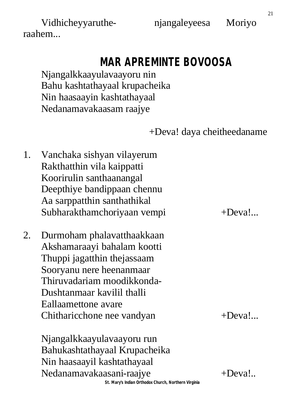Vidhicheyyaruthe- njangaleyeesa Moriyo raahem...

# **MAR APREMINTE BOVOOSA**

Njangalkkaayulavaayoru nin Bahu kashtathayaal krupacheika Nin haasaayin kashtathayaal Nedanamavakaasam raajye

+Deva! daya cheitheedaname

- 1. Vanchaka sishyan vilayerum Rakthatthin vila kaippatti Koorirulin santhaanangal Deepthiye bandippaan chennu Aa sarppatthin santhathikal Subharakthamchoriyaan vempi +Deva!...
- 2. Durmoham phalavatthaakkaan Akshamaraayi bahalam kootti Thuppi jagatthin thejassaam Sooryanu nere heenanmaar Thiruvadariam moodikkonda-Dushtanmaar kavilil thalli Eallaamettone avare Chitharicchone nee vandyan +Deva!...

**St. Mary's Indian Orthodox Church, Northern Virginia** Njangalkkaayulavaayoru run Bahukashtathayaal Krupacheika Nin haasaayil kashtathayaal Nedanamavakaasani-raajye +Deva!..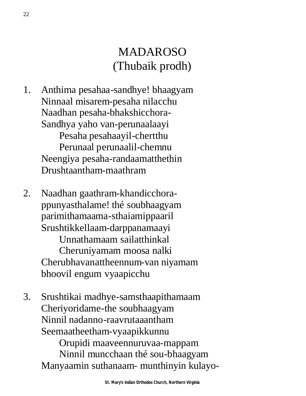## MADAROSO (Thubaik prodh)

- 1. Anthima pesahaa-sandhye! bhaagyam Ninnaal misarem-pesaha nilacchu Naadhan pesaha-bhakshicchora-Sandhya yaho van-perunaalaayi Pesaha pesahaayil-chertthu Perunaal perunaalil-chemnu Neengiya pesaha-randaamatthethin Drushtaantham-maathram
- 2. Naadhan gaathram-khandicchorappunyasthalame! thé soubhaagyam parimithamaama-sthaiamippaaril Srushtikkellaam-darppanamaayi Unnathamaam sailatthinkal Cheruniyamam moosa nalki Cherubhavanattheennum-van niyamam bhoovil engum vyaapicchu
- 3. Srushtikai madhye-samsthaapithamaam Cheriyoridame-the soubhaagyam Ninnil nadanno-raavrutaaantham Seemaatheetham-vyaapikkunnu

Orupidi maaveennuruvaa-mappam Ninnil muncchaan thé sou-bhaagyam Manyaamin suthanaam- munthinyin kulayo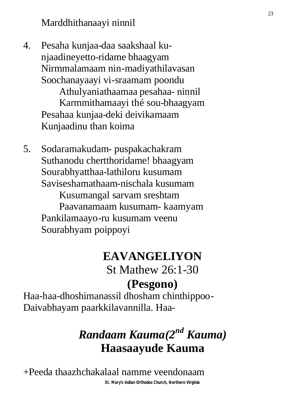4. Pesaha kunjaa-daa saakshaal kunjaadineyetto-ridame bhaagyam Nirmmalamaam nin-madiyathilavasan Soochanayaayi vi-sraamam poondu Athulyaniathaamaa pesahaa- ninnil Karmmithamaayi thé sou-bhaagyam

Pesahaa kunjaa-deki deivikamaam Kunjaadinu than koima

5. Sodaramakudam- puspakachakram Suthanodu chertthoridame! bhaagyam Sourabhyatthaa-lathiloru kusumam Saviseshamathaam-nischala kusumam Kusumangal sarvam sreshtam Paavanamaam kusumam- kaamyam Pankilamaayo-ru kusumam veenu Sourabhyam poippoyi

## **EAVANGELIYON**

St Mathew 26:1-30 **(Pesgono)**

Haa-haa-dhoshimanassil dhosham chinthippoo-Daivabhayam paarkkilavannilla. Haa-

## *Randaam Kauma(2nd Kauma)* **Haasaayude Kauma**

+Peeda thaazhchakalaal namme veendonaam

**St. Mary's Indian Orthodox Church, Northern Virginia**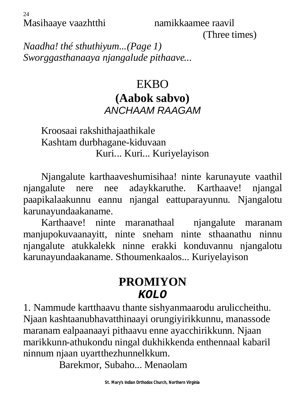(Three times)

*Naadha! thé sthuthiyum...(Page 1) Sworggasthanaaya njangalude pithaave...*

#### EKBO **(Aabok sabvo)** *ANCHAAM RAAGAM*

Kroosaai rakshithajaathikale Kashtam durbhagane-kiduvaan Kuri... Kuri... Kuriyelayison

Njangalute karthaaveshumisihaa! ninte karunayute vaathil njangalute nere nee adaykkaruthe. Karthaave! njangal paapikalaakunnu eannu njangal eattuparayunnu. Njangalotu karunayundaakaname.

Karthaave! ninte maranathaal njangalute maranam manjupokuvaanayitt, ninte sneham ninte sthaanathu ninnu njangalute atukkalekk ninne erakki konduvannu njangalotu karunayundaakaname. Sthoumenkaalos... Kuriyelayison

#### **PROMIYON** *KOLO*

1. Nammude kartthaavu thante sishyanmaarodu aruliccheithu. Njaan kashtaanubhavatthinaayi orungiyirikkunnu, manassode maranam ealpaanaayi pithaavu enne ayacchirikkunn. Njaan marikkunn-athukondu ningal dukhikkenda enthennaal kabaril ninnum njaan uyartthezhunnelkkum.

Barekmor, Subaho... Menaolam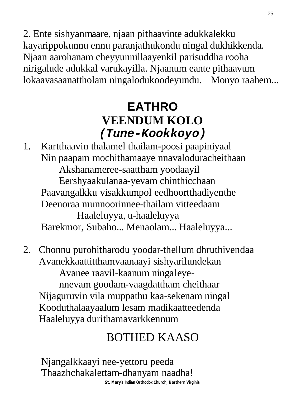2. Ente sishyanmaare, njaan pithaavinte adukkalekku kayarippokunnu ennu paranjathukondu ningal dukhikkenda. Njaan aarohanam cheyyunnillaayenkil parisuddha rooha nirigalude adukkal varukayilla. Njaanum eante pithaavum lokaavasaanattholam ningalodukoodeyundu. Monyo raahem...

## **EATHRO VEENDUM KOLO** *(Tune-Kookkoyo)*

1. Kartthaavin thalamel thailam-poosi paapiniyaal Nin paapam mochithamaaye nnavaloduracheithaan Akshanameree-saattham yoodaayil Eershyaakulanaa-yevam chinthicchaan Paavangalkku visakkumpol eedhoortthadiyenthe Deenoraa munnoorinnee-thailam vitteedaam Haaleluyya, u-haaleluyya Barekmor, Subaho... Menaolam... Haaleluyya...

2. Chonnu purohitharodu yoodar-thellum dhruthivendaa Avanekkaattitthamvaanaayi sishyarilundekan Avanee raavil-kaanum ningaleyennevam goodam-vaagdattham cheithaar Nijaguruvin vila muppathu kaa-sekenam ningal Kooduthalaayaalum lesam madikaatteedenda Haaleluyya durithamavarkkennum

## BOTHED KAASO

Njangalkkaayi nee-yettoru peeda Thaazhchakalettam-dhanyam naadha!

**St. Mary's Indian Orthodox Church, Northern Virginia**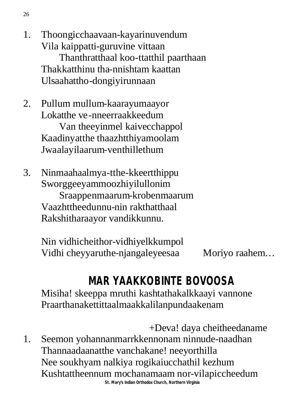- 1. Thoongicchaavaan-kayarinuvendum Vila kaippatti-guruvine vittaan Thanthratthaal koo-ttatthil paarthaan Thakkatthinu tha-nnishtam kaattan Ulsaahattho-dongiyirunnaan
- 2. Pullum mullum-kaarayumaayor Lokatthe ve-nneerraakkeedum Van theeyinmel kaivecchappol Kaadinyatthe thaazhtthiyamoolam Jwaalayilaarum-venthillethum
- 3. Ninmaahaalmya-tthe-kkeertthippu Sworggeeyammoozhiyilullonim Sraappenmaarum-krobenmaarum Vaazhttheedunnu-nin rakthatthaal Rakshitharaayor vandikkunnu.

Nin vidhicheithor-vidhiyelkkumpol Vidhi cheyyaruthe-njangaleyeesaa Moriyo raahem...

## **MAR YAAKKOBINTE BOVOOSA**

Misiha! skeeppa mruthi kashtathakalkkaayi vannone Praarthanakettittaalmaakkalilanpundaakenam

**St. Mary's Indian Orthodox Church, Northern Virginia** +Deva! daya cheitheedaname 1. Seemon yohannanmarrkkennonam ninnude-naadhan Thannaadaanatthe vanchakane! neeyorthilla Nee soukhyam nalkiya rogikaiucchathil kezhum Kushtattheennum mochanamaam nor-vilapiccheedum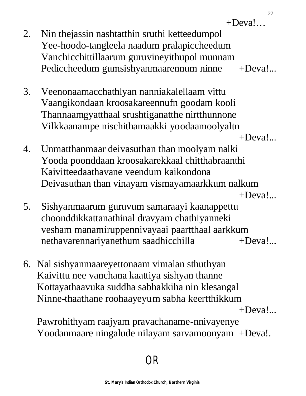$+$ Deva!

- 2. Nin thejassin nashtatthin sruthi ketteedumpol Yee-hoodo-tangleela naadum pralapiccheedum Vanchicchittillaarum guruvineyithupol munnam Pediccheedum gumsishyanmaarennum ninne +Deva!...
- 3. Veenonaamacchathlyan nanniakalellaam vittu Vaangikondaan kroosakareennufn goodam kooli Thannaamgyatthaal srushtiganatthe nirtthunnone Vilkkaanampe nischithamaakki yoodaamoolyaltn

 $+$ Deva! $...$ 

- 4. Unmatthanmaar deivasuthan than moolyam nalki Yooda poonddaan kroosakarekkaal chitthabraanthi Kaivitteedaathavane veendum kaikondona Deivasuthan than vinayam vismayamaarkkum nalkum  $+$ Deva! $...$
- 5. Sishyanmaarum guruvum samaraayi kaanappettu choonddikkattanathinal dravyam chathiyanneki vesham manamiruppennivayaai paartthaal aarkkum nethavarennariyanethum saadhicchilla  $+Deval...$
- 6. Nal sishyanmaareyettonaam vimalan sthuthyan Kaivittu nee vanchana kaattiya sishyan thanne Kottayathaavuka suddha sabhakkiha nin klesangal Ninne-thaathane roohaayeyum sabha keertthikkum

+Deva!...

Pawrohithyam raajyam pravachaname-nnivayenye Yoodanmaare ningalude nilayam sarvamoonyam +Deva!.

## OR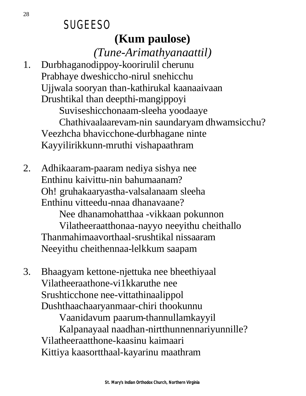### **SUGEESO (Kum paulose)**

*(Tune-Arimathyanaattil)*

1. Durbhaganodippoy-koorirulil cherunu Prabhaye dweshiccho-nirul snehicchu Ujjwala sooryan than-kathirukal kaanaaivaan Drushtikal than deepthi-mangippoyi Suviseshicchonaam-sleeha yoodaaye Chathivaalaarevam-nin saundaryam dhwamsicchu?

Veezhcha bhavicchone-durbhagane ninte Kayyilirikkunn-mruthi vishapaathram

2. Adhikaaram-paaram nediya sishya nee Enthinu kaivittu-nin bahumaanam? Oh! gruhakaaryastha-valsalanaam sleeha Enthinu vitteedu-nnaa dhanavaane?

Nee dhanamohatthaa -vikkaan pokunnon Vilatheeraatthonaa-nayyo neeyithu cheithallo Thanmahimaavorthaal-srushtikal nissaaram Neeyithu cheithennaa-lelkkum saapam

3. Bhaagyam kettone-njettuka nee bheethiyaal Vilatheeraathone-vi1kkaruthe nee Srushticchone nee-vittathinaalippol Dushthaachaaryanmaar-chiri thookunnu Vaanidavum paarum-thannullamkayyil Kalpanayaal naadhan-nirtthunnennariyunnille?

Vilatheeraatthone-kaasinu kaimaari Kittiya kaasortthaal-kayarinu maathram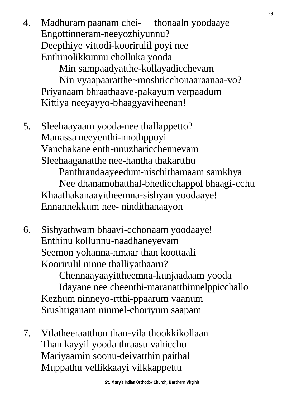4. Madhuram paanam chei- thonaaln yoodaaye Engottinneram-neeyozhiyunnu? Deepthiye vittodi-koorirulil poyi nee Enthinolikkunnu cholluka yooda

Min sampaadyatthe-kollayadicchevam

Nin vyaapaaratthe~moshticchonaaraanaa-vo? Priyanaam bhraathaave-pakayum verpaadum Kittiya neeyayyo-bhaagyaviheenan!

5. Sleehaayaam yooda-nee thallappetto? Manassa neeyenthi-nnothppoyi Vanchakane enth-nnuzharicchennevam Sleehaaganatthe nee-hantha thakartthu

Panthrandaayeedum-nischithamaam samkhya Nee dhanamohatthal-bhedicchappol bhaagi-cchu Khaathakanaayitheemna-sishyan yoodaaye! Ennannekkum nee- nindithanaayon

6. Sishyathwam bhaavi-cchonaam yoodaaye! Enthinu kollunnu-naadhaneyevam Seemon yohanna-nmaar than koottaali Koorirulil ninne thalliyathaaru?

Chennaayaayittheemna-kunjaadaam yooda Idayane nee cheenthi-maranatthinnelppicchallo Kezhum ninneyo-rtthi-ppaarum vaanum Srushtiganam ninmel-choriyum saapam

7. Vtlatheeraatthon than-vila thookkikollaan Than kayyil yooda thraasu vahicchu Mariyaamin soonu-deivatthin paithal Muppathu vellikkaayi vilkkappettu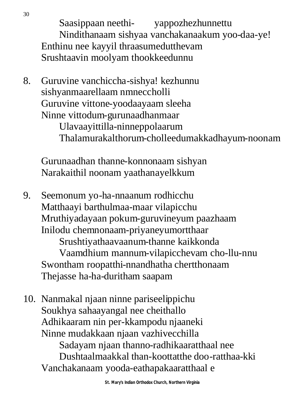Saasippaan neethi- yappozhezhunnettu Nindithanaam sishyaa vanchakanaakum yoo-daa-ye! Enthinu nee kayyil thraasumedutthevam Srushtaavin moolyam thookkeedunnu

8. Guruvine vanchiccha-sishya! kezhunnu sishyanmaarellaam nmneccholli Guruvine vittone-yoodaayaam sleeha Ninne vittodum-gurunaadhanmaar

Ulavaayittilla-ninneppolaarum Thalamurakalthorum-cholleedumakkadhayum-noonam

Gurunaadhan thanne-konnonaam sishyan Narakaithil noonam yaathanayelkkum

9. Seemonum yo-ha-nnaanum rodhicchu Matthaayi barthulmaa-maar vilapicchu Mruthiyadayaan pokum-guruvineyum paazhaam Inilodu chemnonaam-priyaneyumortthaar Srushtiyathaavaanum-thanne kaikkonda Vaamdhium mannum-vilapicchevam cho-llu-nnu Swontham roopatthi-nnandhatha chertthonaam

Thejasse ha-ha-duritham saapam

10. Nanmakal njaan ninne pariseelippichu Soukhya sahaayangal nee cheithallo Adhikaaram nin per-kkampodu njaaneki Ninne mudakkaan njaan vazhivecchilla Sadayam njaan thanno-radhikaaratthaal nee Dushtaalmaakkal than-koottatthe doo-ratthaa-kki Vanchakanaam yooda-eathapakaaratthaal e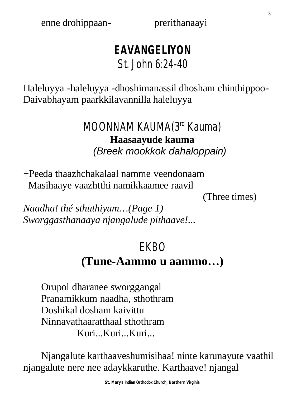enne drohippaan- prerithanaayi

#### **EAVANGELIYON** St. John 6:24-40

Haleluyya -haleluyya -dhoshimanassil dhosham chinthippoo-Daivabhayam paarkkilavannilla haleluyya

#### MOONNAM KAUMA(3rd Kauma) **Haasaayude kauma** *(Breek mookkok dahaloppain)*

+Peeda thaazhchakalaal namme veendonaam Masihaaye vaazhtthi namikkaamee raavil

(Three times)

*Naadha! thé sthuthiyum…(Page 1) Sworggasthanaaya njangalude pithaave!...*

## EKBO

#### **(Tune-Aammo u aammo…)**

Orupol dharanee sworggangal Pranamikkum naadha, sthothram Doshikal dosham kaivittu Ninnavathaaratthaal sthothram Kuri...Kuri...Kuri...

Njangalute karthaaveshumisihaa! ninte karunayute vaathil njangalute nere nee adaykkaruthe. Karthaave! njangal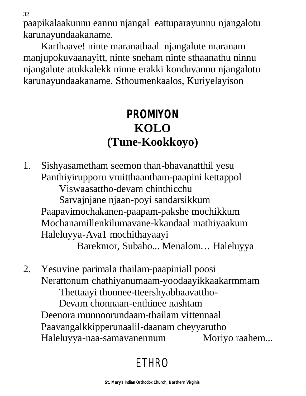paapikalaakunnu eannu njangal eattuparayunnu njangalotu karunayundaakaname.

Karthaave! ninte maranathaal njangalute maranam manjupokuvaanayitt, ninte sneham ninte sthaanathu ninnu njangalute atukkalekk ninne erakki konduvannu njangalotu karunayundaakaname. Sthoumenkaalos, Kuriyelayison

## **PROMIYON KOLO (Tune-Kookkoyo)**

1. Sishyasametham seemon than-bhavanatthil yesu Panthiyirupporu vruitthaantham-paapini kettappol Viswaasattho-devam chinthicchu Sarvajnjane njaan-poyi sandarsikkum Paapavimochakanen-paapam-pakshe mochikkum Mochanamillenkilumavane-kkandaal mathiyaakum Haleluyya-Ava1 mochithayaayi Barekmor, Subaho... Menalom… Haleluyya

2. Yesuvine parimala thailam-paapiniall poosi Nerattonum chathiyanumaam-yoodaayikkaakarmmam Thettaayi thonnee-tteershyabhaavattho-Devam chonnaan-enthinee nashtam Deenora munnoorundaam-thailam vittennaal Paavangalkkipperunaalil-daanam cheyyarutho Haleluyya-naa-samavanennum Moriyo raahem...

## ETHRO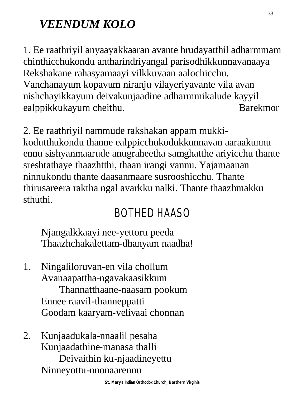## *VEENDUM KOLO*

1. Ee raathriyil anyaayakkaaran avante hrudayatthil adharmmam chinthicchukondu antharindriyangal parisodhikkunnavanaaya Rekshakane rahasyamaayi vilkkuvaan aalochicchu. Vanchanayum kopavum niranju vilayeriyavante vila avan nishchayikkayum deivakunjaadine adharmmikalude kayyil ealppikkukayum cheithu. Barekmor

2. Ee raathriyil nammude rakshakan appam mukkikodutthukondu thanne ealppicchukodukkunnavan aaraakunnu ennu sishyanmaarude anugraheetha samghatthe ariyicchu thante sreshtathaye thaazhtthi, thaan irangi vannu. Yajamaanan ninnukondu thante daasanmaare susrooshicchu. Thante thirusareera raktha ngal avarkku nalki. Thante thaazhmakku sthuthi.

## BOTHED HAASO

Njangalkkaayi nee-yettoru peeda Thaazhchakalettam-dhanyam naadha!

- 1. Ningaliloruvan-en vila chollum Avanaapattha-ngavakaasikkum Thannatthaane-naasam pookum Ennee raavil-thanneppatti Goodam kaaryam-velivaai chonnan
- 2. Kunjaadukala-nnaalil pesaha Kunjaadathine-manasa thalli Deivaithin ku-njaadineyettu Ninneyottu-nnonaarennu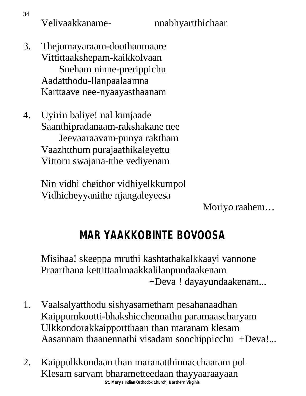Velivaakkaname- nnabhyartthichaar

- 3. Thejomayaraam-doothanmaare Vittittaakshepam-kaikkolvaan Sneham ninne-prerippichu Aadatthodu-llanpaalaamna Karttaave nee-nyaayasthaanam
- 4. Uyirin baliye! nal kunjaade Saanthipradanaam-rakshakane nee Jeevaaraavam-punya raktham Vaazhtthum purajaathikaleyettu Vittoru swajana-tthe vediyenam

Nin vidhi cheithor vidhiyelkkumpol Vidhicheyyanithe njangaleyeesa

Moriyo raahem…

## **MAR YAAKKOBINTE BOVOOSA**

Misihaa! skeeppa mruthi kashtathakalkkaayi vannone Praarthana kettittaalmaakkalilanpundaakenam +Deva ! dayayundaakenam...

- 1. Vaalsalyatthodu sishyasametham pesahanaadhan Kaippumkootti-bhakshicchennathu paramaascharyam Ulkkondorakkaipportthaan than maranam klesam Aasannam thaanennathi visadam soochippicchu +Deva!...
- **St. Mary's Indian Orthodox Church, Northern Virginia** 2. Kaippulkkondaan than maranatthinnacchaaram pol Klesam sarvam bharametteedaan thayyaaraayaan

34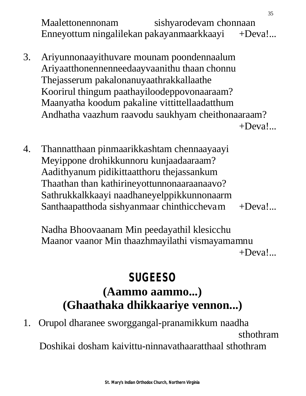Maalettonennonam sishyarodevam chonnaan Enneyottum ningalilekan pakayanmaarkkaayi +Deva!...

3. Ariyunnonaayithuvare mounam poondennaalum Ariyaatthonennenneedaayvaanithu thaan chonnu Thejasserum pakalonanuyaathrakkallaathe Koorirul thingum paathayiloodeppovonaaraam? Maanyatha koodum pakaline vittittellaadatthum Andhatha vaazhum raavodu saukhyam cheithonaaraam?

 $+Deva!...$ 

4. Thannatthaan pinmaarikkashtam chennaayaayi Meyippone drohikkunnoru kunjaadaaraam? Aadithyanum pidikittaatthoru thejassankum Thaathan than kathirineyottunnonaaraanaavo? Sathrukkalkkaayi naadhaneyelppikkunnonaarm Santhaapatthoda sishyanmaar chinthicchevam +Deva!...

Nadha Bhoovaanam Min peedayathil klesicchu Maanor vaanor Min thaazhmayilathi vismayamamnu  $+$ Deva! $...$ 

## **SUGEESO (Aammo aammo...) (Ghaathaka dhikkaariye vennon...)**

1. Orupol dharanee sworggangal-pranamikkum naadha sthothram Doshikai dosham kaivittu-ninnavathaaratthaal sthothram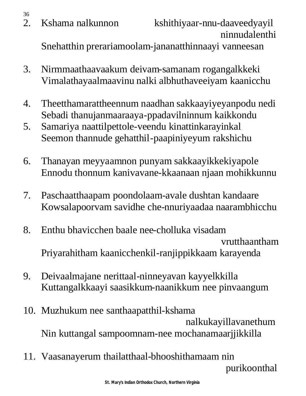36

Snehatthin prerariamoolam-jananatthinnaayi vanneesan

- 3. Nirmmaathaavaakum deivam-samanam rogangalkkeki Vimalathayaalmaavinu nalki albhuthaveeiyam kaanicchu
- 4. Theetthamarattheennum naadhan sakkaayiyeyanpodu nedi Sebadi thanujanmaaraaya-ppadavilninnum kaikkondu
- 5. Samariya naattilpettole-veendu kinattinkarayinkal Seemon thannude gehatthil-paapiniyeyum rakshichu
- 6. Thanayan meyyaamnon punyam sakkaayikkekiyapole Ennodu thonnum kanivavane-kkaanaan njaan mohikkunnu
- 7. Paschaatthaapam poondolaam-avale dushtan kandaare Kowsalapoorvam savidhe che-nnuriyaadaa naarambhicchu
- 8. Enthu bhavicchen baale nee-cholluka visadam vrutthaantham Priyarahitham kaanicchenkil-ranjippikkaam karayenda
- 9. Deivaalmajane nerittaal-ninneyavan kayyelkkilla Kuttangalkkaayi saasikkum-naanikkum nee pinvaangum
- 10. Muzhukum nee santhaapatthil-kshama nalkukayillavanethum Nin kuttangal sampoomnam-nee mochanamaarjjikkilla
- 11. Vaasanayerum thailatthaal-bhooshithamaam nin purikoonthal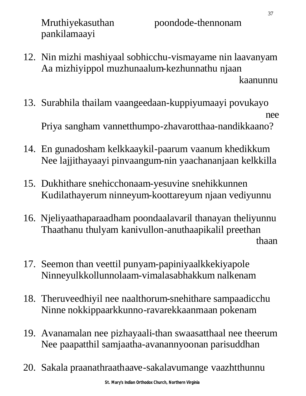pankilamaayi

- 12. Nin mizhi mashiyaal sobhicchu-vismayame nin laavanyam Aa mizhiyippol muzhunaalum-kezhunnathu njaan kaanunnu kaanunnu kaanunnu kaanunnu kaanunnu kaanunnu kaanunnu kaanunnu kaanunnu kaanunnu kaanunnu kaanunnu ka
- 13. Surabhila thailam vaangeedaan-kuppiyumaayi povukayo need the contract of the contract of the contract of the contract of the contract of the contract of the contract of the contract of the contract of the contract of the contract of the contract of the contract of the contr Priya sangham vannetthumpo-zhavarotthaa-nandikkaano?
- 14. En gunadosham kelkkaaykil-paarum vaanum khedikkum Nee lajjithayaayi pinvaangum-nin yaachananjaan kelkkilla
- 15. Dukhithare snehicchonaam-yesuvine snehikkunnen Kudilathayerum ninneyum-koottareyum njaan vediyunnu
- 16. Njeliyaathaparaadham poondaalavaril thanayan theliyunnu Thaathanu thulyam kanivullon-anuthaapikalil preethan thaan is a contract of the contract of the contract of the contract of the contract of the contract of the contract of the contract of the contract of the contract of the contract of the contract of the contract of the con
- 17. Seemon than veettil punyam-papiniyaalkkekiyapole Ninneyulkkollunnolaam-vimalasabhakkum nalkenam
- 18. Theruveedhiyil nee naalthorum-snehithare sampaadicchu Ninne nokkippaarkkunno-ravarekkaanmaan pokenam
- 19. Avanamalan nee pizhayaali-than swaasatthaal nee theerum Nee paapatthil samjaatha-avanannyoonan parisuddhan
- 20. Sakala praanathraathaave-sakalavumange vaazhtthunnu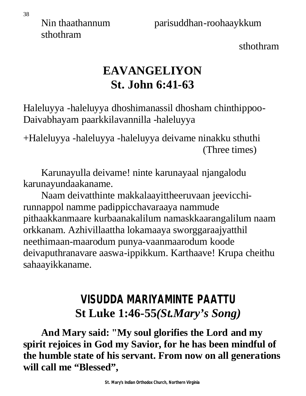sthothram

sthothram

## **EAVANGELIYON St. John 6:41-63**

Haleluyya -haleluyya dhoshimanassil dhosham chinthippoo-Daivabhayam paarkkilavannilla -haleluyya

+Haleluyya -haleluyya -haleluyya deivame ninakku sthuthi (Three times)

Karunayulla deivame! ninte karunayaal njangalodu karunayundaakaname.

Naam deivatthinte makkalaayittheeruvaan jeevicchirunnappol namme padippicchavaraaya nammude pithaakkanmaare kurbaanakalilum namaskkaarangalilum naam orkkanam. Azhivillaattha lokamaaya sworggaraajyatthil neethimaan-maarodum punya-vaanmaarodum koode deivaputhranavare aaswa-ippikkum. Karthaave! Krupa cheithu sahaayikkaname.

## **VISUDDA MARIYAMINTE PAATTU St Luke 1:46-55***(St.Mary's Song)*

**And Mary said: "My soul glorifies the Lord and my spirit rejoices in God my Savior, for he has been mindful of the humble state of his servant. From now on all generations will call me "Blessed",**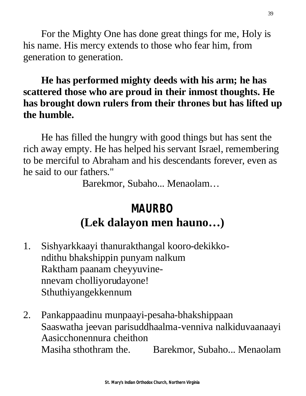For the Mighty One has done great things for me, Holy is his name. His mercy extends to those who fear him, from generation to generation.

#### **He has performed mighty deeds with his arm; he has scattered those who are proud in their inmost thoughts. He has brought down rulers from their thrones but has lifted up the humble.**

He has filled the hungry with good things but has sent the rich away empty. He has helped his servant Israel, remembering to be merciful to Abraham and his descendants forever, even as he said to our fathers."

Barekmor, Subaho... Menaolam…

## **MAURBO (Lek dalayon men hauno…)**

- 1. Sishyarkkaayi thanurakthangal kooro-dekikkondithu bhakshippin punyam nalkum Raktham paanam cheyyuvinennevam cholliyorudayone! Sthuthiyangekkennum
- 2. Pankappaadinu munpaayi-pesaha-bhakshippaan Saaswatha jeevan parisuddhaalma-venniva nalkiduvaanaayi Aasicchonennura cheithon Masiha sthothram the. Barekmor, Subaho... Menaolam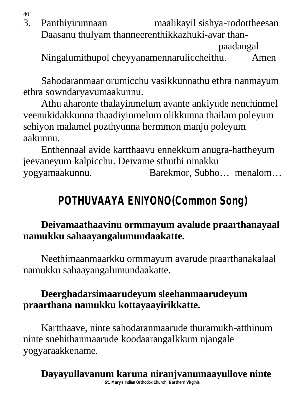40

3. Panthiyirunnaan maalikayil sishya-rodottheesan Daasanu thulyam thanneerenthikkazhuki-avar than paadangal

Ningalumithupol cheyyanamennaruliccheithu. Amen

Sahodaranmaar orumicchu vasikkunnathu ethra nanmayum ethra sowndaryavumaakunnu.

Athu aharonte thalayinmelum avante ankiyude nenchinmel veenukidakkunna thaadiyinmelum olikkunna thailam poleyum sehiyon malamel pozthyunna hermmon manju poleyum aakunnu.

Enthennaal avide kartthaavu ennekkum anugra-hattheyum jeevaneyum kalpicchu. Deivame sthuthi ninakku yogyamaakunnu. Barekmor, Subho… menalom…

## **POTHUVAAYA ENIYONO(Common Song)**

#### **Deivamaathaavinu ormmayum avalude praarthanayaal namukku sahaayangalumundaakatte.**

Neethimaanmaarkku ormmayum avarude praarthanakalaal namukku sahaayangalumundaakatte.

#### **Deerghadarsimaarudeyum sleehanmaarudeyum praarthana namukku kottayaayirikkatte.**

Kartthaave, ninte sahodaranmaarude thuramukh-atthinum ninte snehithanmaarude koodaarangalkkum njangale yogyaraakkename.

**St. Mary's Indian Orthodox Church, Northern Virginia Dayayullavanum karuna niranjvanumaayullove ninte**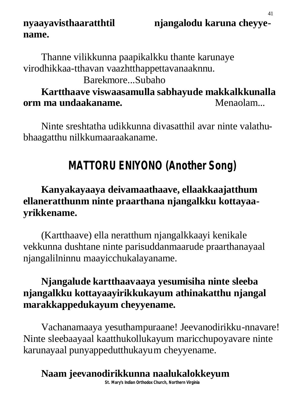#### **nyaayavisthaaratthtil njangalodu karuna cheyyename.**

Thanne vilikkunna paapikalkku thante karunaye virodhikkaa-tthavan vaazhtthappettavanaaknnu.

Barekmore...Subaho

#### **Kartthaave viswaasamulla sabhayude makkalkkunalla orm ma undaakaname. Menaolam...**

Ninte sreshtatha udikkunna divasatthil avar ninte valathubhaagatthu nilkkumaaraakaname.

## **MATTORU ENIYONO (Another Song)**

#### **Kanyakayaaya deivamaathaave, ellaakkaajatthum ellaneratthunm ninte praarthana njangalkku kottayaayrikkename.**

(Kartthaave) ella neratthum njangalkkaayi kenikale vekkunna dushtane ninte parisuddanmaarude praarthanayaal njangalilninnu maayicchukalayaname.

#### **Njangalude kartthaavaaya yesumisiha ninte sleeba njangalkku kottayaayirikkukayum athinakatthu njangal marakkappedukayum cheyyename.**

Vachanamaaya yesuthampuraane! Jeevanodirikku-nnavare! Ninte sleebaayaal kaatthukollukayum maricchupoyavare ninte karunayaal punyappedutthukayum cheyyename.

## **Naam jeevanodirikkunna naalukalokkeyum**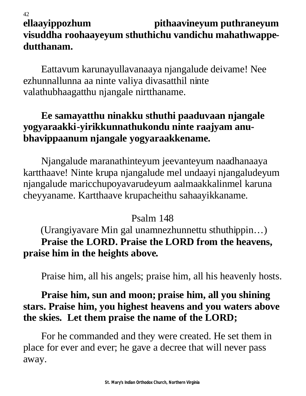#### 42 **ellaayippozhum pithaavineyum puthraneyum visuddha roohaayeyum sthuthichu vandichu mahathwappedutthanam.**

Eattavum karunayullavanaaya njangalude deivame! Nee ezhunnallunna aa ninte valiya divasatthil ninte valathubhaagatthu njangale nirtthaname.

#### **Ee samayatthu ninakku sthuthi paaduvaan njangale yogyaraakki-yirikkunnathukondu ninte raajyam anubhavippaanum njangale yogyaraakkename.**

Njangalude maranathinteyum jeevanteyum naadhanaaya kartthaave! Ninte krupa njangalude mel undaayi njangaludeyum njangalude maricchupoyavarudeyum aalmaakkalinmel karuna cheyyaname. Kartthaave krupacheithu sahaayikkaname.

#### Psalm 148

(Urangiyavare Min gal unamnezhunnettu sthuthippin…) **Praise the LORD. Praise the LORD from the heavens, praise him in the heights above.**

Praise him, all his angels; praise him, all his heavenly hosts.

#### **Praise him, sun and moon; praise him, all you shining stars. Praise him, you highest heavens and you waters above the skies. Let them praise the name of the LORD;**

For he commanded and they were created. He set them in place for ever and ever; he gave a decree that will never pass away.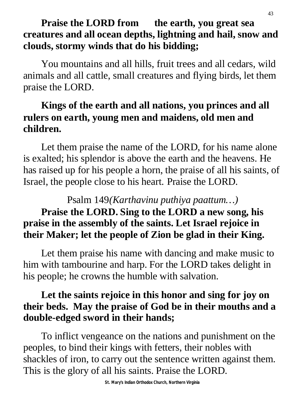#### **Praise the LORD from the earth, you great sea creatures and all ocean depths, lightning and hail, snow and clouds, stormy winds that do his bidding;**

You mountains and all hills, fruit trees and all cedars, wild animals and all cattle, small creatures and flying birds, let them praise the LORD.

#### **Kings of the earth and all nations, you princes and all rulers on earth, young men and maidens, old men and children.**

Let them praise the name of the LORD, for his name alone is exalted; his splendor is above the earth and the heavens. He has raised up for his people a horn, the praise of all his saints, of Israel, the people close to his heart. Praise the LORD.

## Psalm 149*(Karthavinu puthiya paattum…)*

#### **Praise the LORD. Sing to the LORD a new song, his praise in the assembly of the saints. Let Israel rejoice in their Maker; let the people of Zion be glad in their King.**

Let them praise his name with dancing and make music to him with tambourine and harp. For the LORD takes delight in his people; he crowns the humble with salvation.

#### **Let the saints rejoice in this honor and sing for joy on their beds. May the praise of God be in their mouths and a double-edged sword in their hands;**

To inflict vengeance on the nations and punishment on the peoples, to bind their kings with fetters, their nobles with shackles of iron, to carry out the sentence written against them. This is the glory of all his saints. Praise the LORD.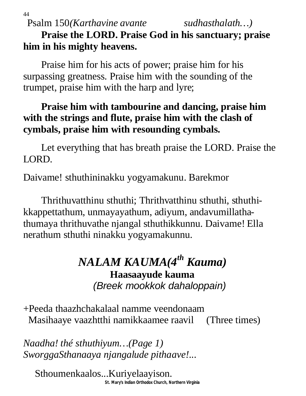Psalm 150*(Karthavine avante sudhasthalath…)*

44

**Praise the LORD. Praise God in his sanctuary; praise him in his mighty heavens.**

Praise him for his acts of power; praise him for his surpassing greatness. Praise him with the sounding of the trumpet, praise him with the harp and lyre;

#### **Praise him with tambourine and dancing, praise him with the strings and flute, praise him with the clash of cymbals, praise him with resounding cymbals.**

Let everything that has breath praise the LORD. Praise the LORD.

Daivame! sthuthininakku yogyamakunu. Barekmor

Thrithuvatthinu sthuthi; Thrithvatthinu sthuthi, sthuthikkappettathum, unmayayathum, adiyum, andavumillathathumaya thrithuvathe njangal sthuthikkunnu. Daivame! Ella nerathum sthuthi ninakku yogyamakunnu.

#### *NALAM KAUMA(4th Kauma)* **Haasaayude kauma** *(Breek mookkok dahaloppain)*

+Peeda thaazhchakalaal namme veendonaam Masihaaye vaazhtthi namikkaamee raavil (Three times)

*Naadha! thé sthuthiyum…(Page 1) SworggaSthanaaya njangalude pithaave!...*

**St. Mary's Indian Orthodox Church, Northern Virginia** Sthoumenkaalos...Kuriyelaayison.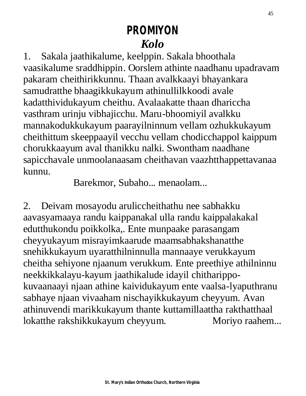## **PROMIYON** *Kolo*

1. Sakala jaathikalume, keelppin. Sakala bhoothala vaasikalume sraddhippin. Oorslem athinte naadhanu upadravam pakaram cheithirikkunnu. Thaan avalkkaayi bhayankara samudratthe bhaagikkukayum athinullilkkoodi avale kadatthividukayum cheithu. Avalaakatte thaan dhariccha vasthram urinju vibhajicchu. Maru-bhoomiyil avalkku mannakodukkukayum paarayilninnum vellam ozhukkukayum cheithittum skeeppaayil vecchu vellam chodicchappol kaippum chorukkaayum aval thanikku nalki. Swontham naadhane sapicchavale unmoolanaasam cheithavan vaazhtthappettavanaa kunnu.

Barekmor, Subaho... menaolam...

2. Deivam mosayodu aruliccheithathu nee sabhakku aavasyamaaya randu kaippanakal ulla randu kaippalakakal edutthukondu poikkolka,. Ente munpaake parasangam cheyyukayum misrayimkaarude maamsabhakshanatthe snehikkukayum uyaratthilninnulla mannaaye verukkayum cheitha sehiyone njaanum verukkum. Ente preethiye athilninnu neekkikkalayu-kayum jaathikalude idayil chitharippokuvaanaayi njaan athine kaividukayum ente vaalsa-lyaputhranu sabhaye njaan vivaaham nischayikkukayum cheyyum. Avan athinuvendi marikkukayum thante kuttamillaattha rakthatthaal lokatthe rakshikkukayum cheyyum. Moriyo raahem...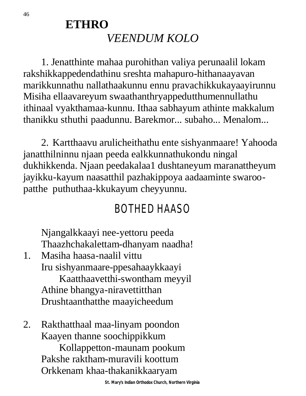## **ETHRO** *VEENDUM KOLO*

1. Jenatthinte mahaa purohithan valiya perunaalil lokam rakshikkappedendathinu sreshta mahapuro-hithanaayavan marikkunnathu nallathaakunnu ennu pravachikkukayaayirunnu Misiha ellaavareyum swaathanthryappedutthumennullathu ithinaal vyakthamaa-kunnu. Ithaa sabhayum athinte makkalum thanikku sthuthi paadunnu. Barekmor... subaho... Menalom...

2. Kartthaavu arulicheithathu ente sishyanmaare! Yahooda janatthilninnu njaan peeda ealkkunnathukondu ningal dukhikkenda. Njaan peedakalaa1 dushtaneyum maranattheyum jayikku-kayum naasatthil pazhakippoya aadaaminte swaroopatthe puthuthaa-kkukayum cheyyunnu.

## BOTHED HAASO

Njangalkkaayi nee-yettoru peeda Thaazhchakalettam-dhanyam naadha!

- 1. Masiha haasa-naalil vittu Iru sishyanmaare-ppesahaaykkaayi Kaatthaavetthi-swontham meyyil Athine bhangya-niravettitthan Drushtaanthatthe maayicheedum
- 2. Rakthatthaal maa-linyam poondon Kaayen thanne soochippikkum Kollappetton-maunam pookum Pakshe raktham-muravili koottum Orkkenam khaa-thakanikkaaryam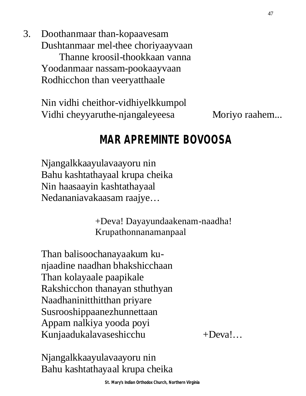3. Doothanmaar than-kopaavesam Dushtanmaar mel-thee choriyaayvaan Thanne kroosil-thookkaan vanna Yoodanmaar nassam-pookaayvaan Rodhicchon than veeryatthaale

> Nin vidhi cheithor-vidhiyelkkumpol Vidhi cheyyaruthe-njangaleyeesa Moriyo raahem...

#### **MAR APREMINTE BOVOOSA**

Njangalkkaayulavaayoru nin Bahu kashtathayaal krupa cheika Nin haasaayin kashtathayaal Nedananiavakaasam raajye…

> +Deva! Dayayundaakenam-naadha! Krupathonnanamanpaal

Than balisoochanayaakum kunjaadine naadhan bhakshicchaan Than kolayaale paapikale Rakshicchon thanayan sthuthyan Naadhaninitthitthan priyare Susrooshippaanezhunnettaan Appam nalkiya yooda poyi Kunjaadukalavaseshicchu +Deva!...

Njangalkkaayulavaayoru nin Bahu kashtathayaal krupa cheika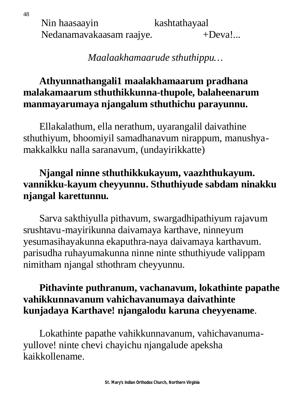Nin haasaayin kashtathayaal Nedanamavakaasam raajye. +Deva!...

#### *Maalaakhamaarude sthuthippu…*

#### **Athyunnathangali1 maalakhamaarum pradhana malakamaarum sthuthikkunna-thupole, balaheenarum manmayarumaya njangalum sthuthichu parayunnu.**

Ellakalathum, ella nerathum, uyarangalil daivathine sthuthiyum, bhoomiyil samadhanavum nirappum, manushyamakkalkku nalla saranavum, (undayirikkatte)

#### **Njangal ninne sthuthikkukayum, vaazhthukayum. vannikku-kayum cheyyunnu. Sthuthiyude sabdam ninakku njangal karettunnu.**

Sarva sakthiyulla pithavum, swargadhipathiyum rajavum srushtavu-mayirikunna daivamaya karthave, ninneyum yesumasihayakunna ekaputhra-naya daivamaya karthavum. parisudha ruhayumakunna ninne ninte sthuthiyude valippam nimitham njangal sthothram cheyyunnu.

#### **Pithavinte puthranum, vachanavum, lokathinte papathe vahikkunnavanum vahichavanumaya daivathinte kunjadaya Karthave! njangalodu karuna cheyyename**.

Lokathinte papathe vahikkunnavanum, vahichavanumayullove! ninte chevi chayichu njangalude apeksha kaikkollename.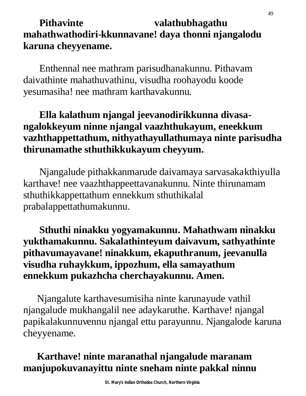#### Pithavinte valathubhagathu **mahathwathodiri-kkunnavane! daya thonni njangalodu karuna cheyyename.**

Enthennal nee mathram parisudhanakunnu. Pithavam daivathinte mahathuvathinu, visudha roohayodu koode yesumasiha! nee mathram karthavakunnu.

#### **Ella kalathum njangal jeevanodirikkunna divasangalokkeyum ninne njangal vaazhthukayum, eneekkum vazhthappettathum, nithyathayullathumaya ninte parisudha thirunamathe sthuthikkukayum cheyyum.**

Njangalude pithakkanmarude daivamaya sarvasakakthiyulla karthave! nee vaazhthappeettavanakunnu. Ninte thirunamam sthuthikkappettathum ennekkum sthuthikalal prabalappettathumakunnu.

#### **Sthuthi ninakku yogyamakunnu. Mahathwam ninakku yukthamakunnu. Sakalathinteyum daivavum, sathyathinte pithavumayavane! ninakkum, ekaputhranum, jeevanulla visudha ruhaykkum, ippozhum, ella samayathum ennekkum pukazhcha cherchayakunnu. Amen.**

Njangalute karthavesumisiha ninte karunayude vathil njangalude mukhangalil nee adaykaruthe. Karthave! njangal papikalakunnuvennu njangal ettu parayunnu. Njangalode karuna cheyyename.

#### **Karthave! ninte maranathal njangalude maranam manjupokuvanayittu ninte sneham ninte pakkal ninnu**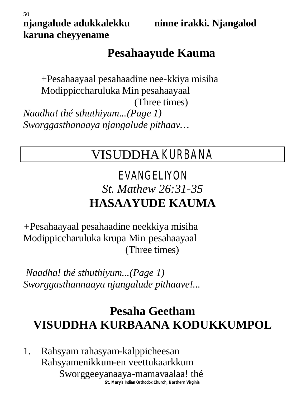**njangalude adukkalekku ninne irakki. Njangalod** 

50 **karuna cheyyename**

## **Pesahaayude Kauma**

+Pesahaayaal pesahaadine nee-kkiya misiha Modippiccharuluka Min pesahaayaal (Three times) *Naadha! thé sthuthiyum...(Page 1) Sworggasthanaaya njangalude pithaav…*

## VISUDDHA KURBANA

## EVANGELIYON *St. Mathew 26:31-35* **HASAAYUDE KAUMA**

*+*Pesahaayaal pesahaadine neekkiya misiha Modippiccharuluka krupa Min pesahaayaal (Three times)

*Naadha! thé sthuthiyum...(Page 1) Sworggasthannaaya njangalude pithaave!...*

## **Pesaha Geetham VISUDDHA KURBAANA KODUKKUMPOL**

**St. Mary's Indian Orthodox Church, Northern Virginia** 1. Rahsyam rahasyam-kalppicheesan Rahsyamenikkum-en veettukaarkkum Sworggeeyanaaya-mamavaalaa! thé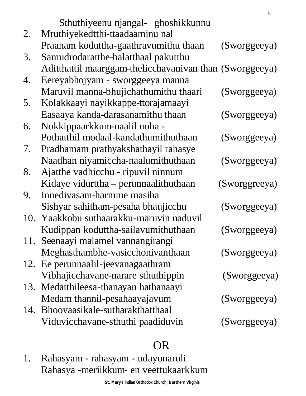|    |                                                         | 51            |
|----|---------------------------------------------------------|---------------|
|    | Sthuthiyeenu njangal- ghoshikkunnu                      |               |
| 2. | Mruthiyekedtthi-ttaadaaminu nal                         |               |
|    | Praanam koduttha-gaathravumithu thaan                   | (Sworggeeya)  |
| 3. | Samudrodaratthe-balatthaal pakutthu                     |               |
|    | Aditthattil maarggam-thelicchavanivan than (Sworggeeya) |               |
| 4. | Eereyabhojyam - sworggeeya manna                        |               |
|    | Maruvil manna-bhujichathumithu thaari                   | (Sworggeeya)  |
| 5. | Kolakkaayi nayikkappe-ttorajamaayi                      |               |
|    | Easaaya kanda-darasanamithu thaan                       | (Sworggeeya)  |
| 6. | Nokkippaarkkum-naalil noha -                            |               |
|    | Pothatthil modaal-kandathumithuthaan                    | (Sworggeeya)  |
| 7. | Pradhamam prathyakshathayil rahasye                     |               |
|    | Naadhan niyamiccha-naalumithuthaan                      | (Sworggeeya)  |
| 8. | Ajatthe vadhicchu - ripuvil ninnum                      |               |
|    | Kidaye vidurttha – perunnaalithuthaan                   | (Sworggreeya) |
| 9. | Innedivasam-harmme masiha                               |               |
|    | Sishyar sahitham-pesaha bhaujicchu                      | (Sworggeeya)  |
|    | 10. Yaakkobu suthaarakku-maruvin naduvil                |               |
|    | Kudippan koduttha-sailavumithuthaan                     | (Sworggeeya)  |
|    | 11. Seenaayi malamel vannangirangi                      |               |
|    | Meghasthambhe-vasicchonivanthaan                        | (Sworggeeya)  |
|    | 12. Ee perunnaalil-jeevanagaathram                      |               |
|    | Vibhajicchavane-narare sthuthippin                      | (Sworggeeya)  |
|    | 13. Medatthileesa-thanayan hathanaayi                   |               |
|    | Medam thannil-pesahaayajavum                            | (Sworggeeya)  |
|    | 14. Bhoovaasikale-sutharakthatthaal                     |               |
|    | Viduvicchavane-sthuthi paadiduvin                       | (Sworggeeya)  |
|    |                                                         |               |

#### OR

1. Rahasyam - rahasyam - udayonaruli Rahasya -meriikkum- en veettukaarkkum